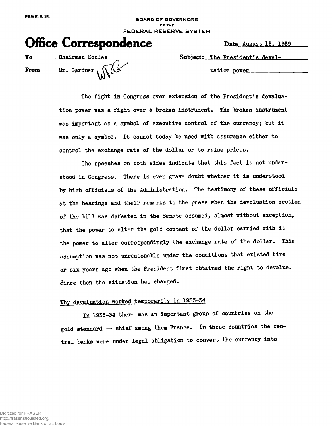#### **BOARD OF GOVERNORS OF THE FEDERAL RESERVE SYSTEM**

| <b>Office Correspondence</b>             | Date August 15, 1               |
|------------------------------------------|---------------------------------|
| $To$ — —<br>Chairman Eccles              | Subject: The President's deval- |
| From $Mr.$ Gardner, $\sqrt{\frac{1}{r}}$ | uation power                    |

Date August 15, 1939

**The fight in Congress over extension of the President's devaluation power was a fight over a broken instrument. The broken instrument was important as a symbol of executive control of the currency; but it was only a symbol\* It cannot today be used with assurance either to control the exchange rate of the dollar or to raise prices.**

**The speeches on both sides indicate that this fact is not understood in Congress. There is even grave doubt whether it is understood** by high officials of the Administration. The testimony of these officials **at the hearings and their remarks to the press when the devaluation section of the bill was defeated in the Senate assumed, almost without exception, that the power to alter the gold content of the dollar carried with it** the power to alter correspondingly the exchange rate of the dollar. This **assumption was not unreasonable under the conditions that existed five or six years ago when the President first obtained the right to devalue. Since then the situation has changed.**

# **Why devaluation worked temporarily in 1955-54**

**In 1955-54 there was an important group of countries on the gold standard — chief among them France. In these countries the central banks were under legal obligation to convert the currency into**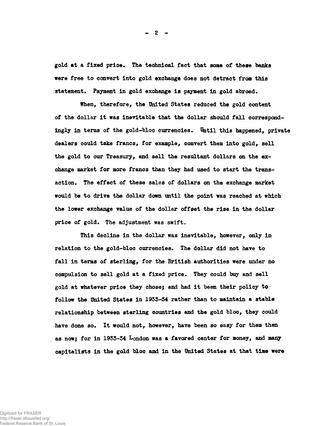**gold at a fixed price\* The technical fact that some of there banks were free to convert into gold exchange does not detract from this** statement. Payment in gold exchange is payment in gold abroad.

**When, therefore, the United States reduced the gold content of the dollar it was inevitable that the dollar should fall correspondingly in terms of the gold-bloc currencies. Until this happened, private dealers could take francs, for example, convert them into gold, sell the gold to our Treasury, and sell the resultant dollars on the exchange market for more francs than they had used to start the transaction. The effect of these sales of dollars on the exchange market would be to drive the dollar down until the point was reached at which the lower exchange value of the dollar offset the rise in the dollar** price of gold. The adjustment was swift.

**This decline in the dollar was inevitable, however, only in relation to the gold-bloc currencies. The dollar did not have to fall in terms of sterling, for the British authorities were under no compulsion to sell gold at a fixed price. They could buy and sell gold at whatever price they chose; and had it been their policy to follow the United States in 1933-54 rather than to maintain a stable relationship between sterling countries and the gold bloc, they could have done so. It would not, however, have been so easy for them then as now; for in 1953-34 London was a favored center for money, and many capitalists in the gold bloc and in the United States at that time were**

**- 2 -**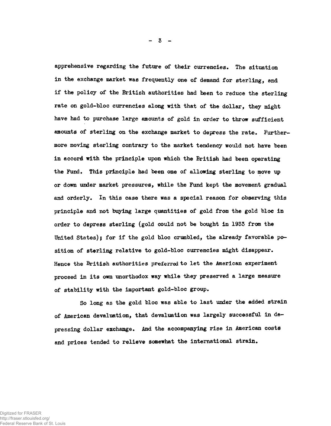apprehensive regarding the future of their currencies. The situation **in the exchange market was frequently one of demand for sterling, 8nd if the policy of the British authorities had been to reduce the sterling rate on gold-bloc currencies along with that of the dollar, they might have had to purchase large amounts of gold in order to throw sufficient** amounts of sterling on the exchange market to depress the rate. Further**more moving sterling contrary to the market tendency would not have been in accord with the principle upon which the British had been operating the Fund. This principle had been one of allowing sterling to move up or down under market pressures, while the Fund kept the movement gradual** and orderly. In this case there was a special reason for observing this **principle and not buying large quantities of gold from the gold bloc in order to depress sterling (gold could not be bought in 1933 from the United States); for if the gold bloc crumbled, the already favorable position of sterling relative to gold-bloc currencies might disappear. Hence the British authorities preferred to let the American experiment proceed in its own unorthodox way while they preserved a large measure of stability with the important gold-bloc group.**

**So long as the gold bloc was able to last under the added strain of American devaluation, that devaluation was largely successful in depressing dollar exchange. And the accompanying rise in American costs and prices tended to relieve somewhat the international strain.**

**- 3 -**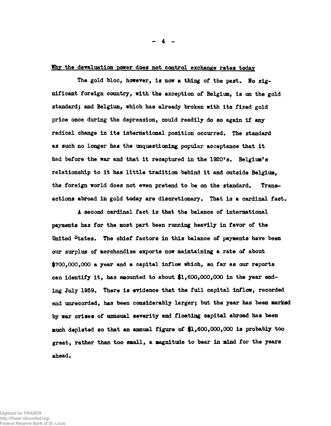# **Why the devaluation power does not control exchange rates today**

The gold bloc, however, is now a thing of the past. No sig**nificant foreign country, with the exception of Belgium, is on the gold standard; and Belgium, which has already broken with its fixed gold price once during the depression, could readily do so again if any radical change in its international position occurred• The standard as such no longer has the unquestioning popular acceptance that it had before the war and that it recaptured in the 1920<sup>f</sup>s. Belgium<sup>1</sup>s relationship to it has little tradition behind it and outside Belgium,** the foreign world does not even pretend to be on the standard. Trans**actions abroad in gold today are discretionary• That is a cardinal fact,**

**A second cardinal fact is that the balance of international payments has for the most part been running heavily in favor of the** United States. The chief factors in this balance of payments have been **our surplus of merchandise exports now maintaining a rate of about \$700,000,000 a year and a capital inflow which, so far as our reports can identify it, has amounted to about \$1,600,000,000 in the year end**ing July 1939. There is evidence that the full capital inflow, recorded **and unrecorded, has been considerably larger; but the year has been marked by war crises of unusual severity and floating capital abroad has been much depleted so that an annual figure of #1,600,000,000 is probably too great, rather than too small, a magnitude to bear in mind for the years** ahead.

Digitized for FRASER http://fraser.stlouisfed.org/ Federal Reserve Bank of St. Louis **- 4 -**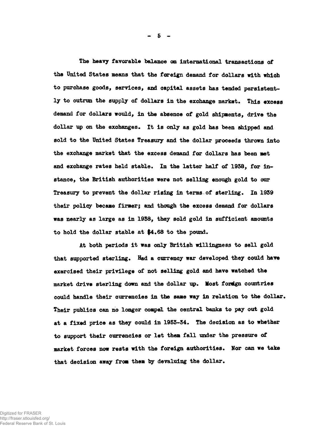**The heavy favorable balance on international transactions of the United States means that the foreign demand for dollars with which to purchase goods, services, and oapital assets has tended persistent**ly to outrun the supply of dollars in the exchange market. This excess **demand for dollars would, in the absence of gold shipments, drive the dollar up on the exchanges. It is only as gold has been shipped and sold to the United States Treasury and the dollar proceeds thrown into the exchange market that the excess demand for dollars has been met and exchange rates held stable. In the latter half of 1958, for instance, the British authorities were not selling enough gold to our** Treasury to prevent the dollar rising in terms of sterling. In 1939 **their policy became firmer; and though the excess demand for dollars was nearly as large as in 1958, they sold gold in sufficient amounts** to hold the dollar stable at \$4.68 to the pound.

**At both periods it was only British willingness to sell gold** that supported sterling. Had a currency war developed they could have **exercised their privilege of not selling gold and have watched the market drive sterling down and the dollar up\* Most foreign countries** could handle their currencies in the same way in relation to the dollar. **Their publics can no longer compel the central banks to pay out gold** at a fixed price as they could in 1953-34. The decision as to whether **to support their currencies or let them fall under the pressure of** market forces now rests with the foreign authorities. Nor can we take that decision away from them by devaluing the dollar.

**- 5 -**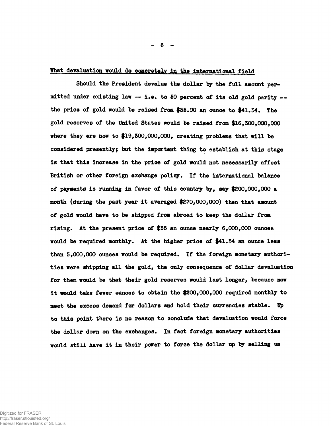# What devaluation would do concretely in the international field

**Should the President devalue the dollar by the full amount permitted under existing law — i.e. to SO percent of its old gold parity the price of gold would be raised from \$35.00 an ounce to \$41.34. The gold reserves of the United States would be raised from #16,500,000,000 where they are now to \$19,300,000,000, creating problems that will be considered presently; but the important thing to establish at this stage is that this increase in the price of gold would not necessarily affect British or other foreign exchange policy. If the international balance of payments is running in favor of this country by, say \$200,000,000 a month (during the past year it averaged \$270,000,000) then that amount of gold would have to be shipped from abroad to keep the dollar from rising. At the present price of \$35 an ounce nearly 6,000,000 ounces would be required monthly. At the higher price of \$41.54 an ounce less than 5,000,000 ounces would be required. If the foreign monetary authorities were shipping all the gold, the only consequence of dollar devaluation for them would be that their gold reserves would last longer, because now it would take fewer ounces to obtain the \$200,000,000 required monthly to meet the excess demand for dollars and hold their currencies stable. Dp to this point there is no reason to conclude that devaluation would force the dollar down on the exchanges. In fact foreign monetary authorities would still have it in their power to force the dollar up by selling us**

Digitized for FRASER http://fraser.stlouisfed.org/ Federal Reserve Bank of St. Louis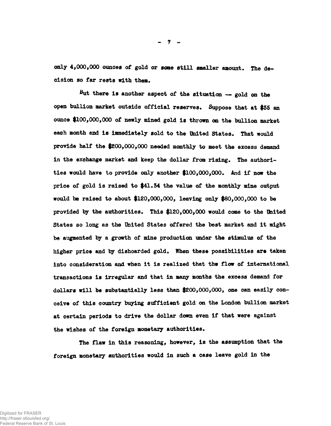**only 4,000,000 ounces of gold or some still smaller amount. The decision so far rest8 with them.**

**But there is another aspect of the situation — gold on the open bullion market outside official reserves. Suppose that at \$35 an ounce \$100,000,000 of newly mined gold is thrown on the bullion market** each month and is immediately sold to the United States. That would **provide half the \$200,000,000 needed monthly to meet the excess demand in the exchange market and keep the dollar from rising. The authorities would have to provide only another \$100,000,000. And if now the price of gold is raised to \$41.54 the value of the monthly mine output would be raised to about \$120,000,000, leaving only \$80,000,000 to be provided by the authorities. This \$120,000,000 would come to the United States so long as the United States offered the best market and it might be augmented by a growth of mine production under the stimulus of the higher price and by dishoarded gold. When these possibilities are taken into consideration and when it is realised that the flow of international transactions is irregular and that in many months the excess demand for dollars will be substantially less than \$200,000,000, one can easily conceive of this country buying sufficient gold on the London bullion market at certain periods to drive the dollar down even if that were against the wishes of the foreign monetary authorities.**

**The flaw in this reasoning, however, is the assumption that the foreign monetary authorities would in such a case leave gold in the**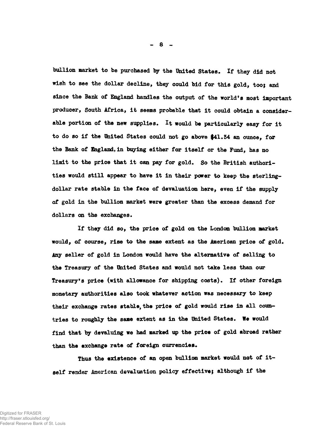**bullion market to be purchased by the United States\* If they did not wish to see the dollar decline, they could bid for this gold, too; and since the Bank of England handles the output of the world<sup>f</sup>s most important producer, South Africa, it seems probable that it could obtain a consider**able portion of the new supplies. It would be particularly easy for it to do so if the United States could not go above \$41.54 an ounce, for **the Bank of England,in buying either for itself or the Fund, has no** limit to the price that it can pay for gold. So the British authori**ties would still appear to have it in their power to keep the sterlingdollar rate stable in the face of devaluation here, even if the supply of gold in the bullion market were greater than the excess demand for** dollars on the exchanges.

**If they did so, the price of gold on the London bullion market would, of course, rise to the same extent as the American price of gold\* Any seller of gold in London would have the alternative of selling to the Treasury of the United States and would not take less than our Treasury<sup>9</sup>s price (with allowance for shipping costs)\* If other foreign monetary authorities also took whatever action was necessary to keep their exchange rates stable, the price of gold would rise in all countries to roughly the same extent as in the United States\* We would find that by devaluing we had marked up the price of gold abroad rather** than the exchange rate of foreign currencies.

**Thus the existence of an open bullion market would not of itself render American devaluation policy effective} although if the**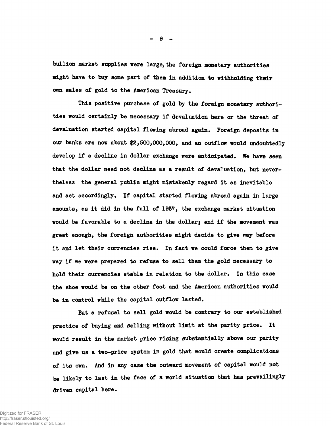**bullion market supplies were large, the foreign monetary authorities might have to buy some part of them in addition to withholding thwir** own sales of gold to the American Treasury.

**This positive purchase of gold by the foreign monetary authorities would certainly be necessary if devaluation here or the threat of devaluation started capital flowing abroad again\* Foreign deposits in our banks are now about #2,500,000,000, and an outflow would undoubtedly** develop if a decline in dollar exchange were anticipated. We have seen **that the dollar need not decline as a result of devaluation, but nevertheless the general public might mistakenly regard it as inevitable** and act accordingly. If capital started flowing abroad again in large **amounts, as it did in the fall of 1957, the exchange market situation would be favorable to a decline in the dollar; and if the movement was great enough, the foreign authorities might decide to give way before** it and let their currencies rise. In fact we could force them to give **way if we were prepared to refuse to sell them the gold necessary to** hold their currencies stable in relation to the doller. In this case **the shoe would be on the other foot and the American authorities would** be in control while the capital outflow lasted.

**But a refusal to sell gold would be contrary to our established** practice of buying and selling without limit at the parity price. It **would result in the market price rising substantially above our parity and give us a two-price system in gold that would create complications** of its own. And in any case the outward movement of capital would not **be likely to last in the face of a world situation that has prevailingly** driven capital here.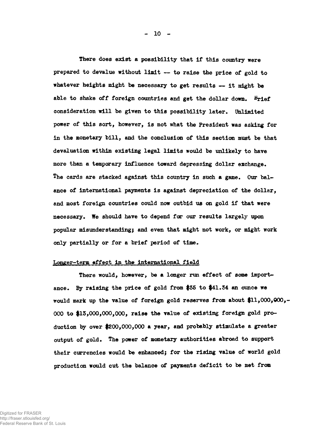**There does exist a possibility that if this country were prepared to devalue without limit — to raise the price of gold to whatever heights might be necessary to get results — it might be** able to shake off foreign countries and get the dollar down. **Brief consideration will be given to this possibility later. Unlimited power of this sort, however, is not what the President was asking for in the monetary bill, and the conclusion of this section must be that devaluation within existing legal limits would be unlikely to have more than a temporary influence toward depressing dollar exchange.** The cards are stacked against this country in such a game. Our bal**ance of international payments is against depreciation of the dollar, and most foreign countries could now outbid us on gold if that were necessary\* We should have to depend for our results largely upon popular misunderstanding; and even that might not work, or might work only partially or for a brief period of time.**

#### **Longer-term effect in the international field**

**There would, however, be a longer run effect of some importance. By raising the price of gold from \$35 to |41.34 an ounce we would mark up the value of foreign gold reserves from about \$11,000,000,- 000 to #13,000,000,000, raise the value of existing foreign gold production by over \$200,000,000 a year, and probably stimulate a greater output of gold. The power of monetary authorities abroad to support their currencies would be enhanced; for the rising value of world gold production would cut the balance of payments deficit to be met from**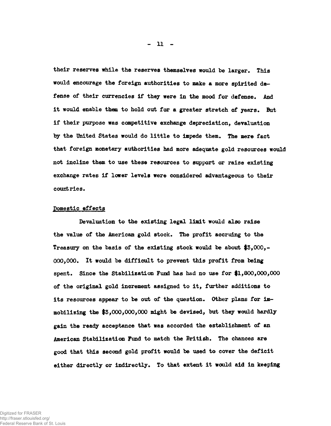**their reserves while the reserves themselves would be larger. This would encourage the foreign authorities to make a more spirited de**fense of their currencies if they were in the mood for defense. And it would enable them to hold out for a greater stretch of years. But **if their purpose was competitive exchange depreciation, devaluation** by the United States would do little to impede them. The mere fact **that foreign monetary authorities had more adequate gold resources would not incline them to use these resources to support or raise existing exchange rates if lower levels were considered advantageous to their countries.**

# **Domestic effects**

**Devaluation to the existing legal limit would also raise** the value of the American gold stock. The profit accruing to the **Treasury on the basis of the existing stock would be about \$3,000,- 000,000\* It would be difficult to prevent this profit from being spent. Since the Stabilization Fund has had no use for |1,800,000,000 of the original gold increment assigned to it, further additions to** its resources appear to be out of the question. Other plans for im**mobilizing the \$3,000,000,000 might be devised, but they would hardly gain the ready acceptance that was accorded the establishment of an** American Stabilization Fund to match the British. The chances are **good that this second gold profit would be used to cover the deficit either directly or indirectly\* To that extent it would aid in keeping**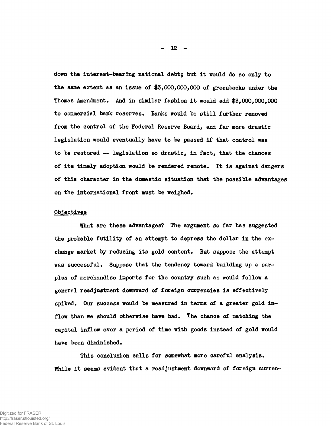**down the interest-bearing national debt; but it would do so only to the same extent as an issue of #3,000,000,000 of greenbacks under the Thomas Amendment. And in similar fashion it would add \$3,000,000,000 to commercial bank reserves\* Banks would be still further removed from the control of the Federal Reserve Board, and far more drastic legislation would eventually have to be passed if that control was to be restored — legislation so drastic, in fact, that the chances of its timely adoption would be rendered remote. It is against dangers of this character in the domestic situation that the possible advantages on the international front must be weighed.**

# **Objectives**

**What are these advantages? The argument so far has suggested the probable futility of an attempt to depress the dollar in the exchange market by reducing its gold content. But suppose the attempt was successful. Suppose that the tendency toward building up a surplus of merchandise imports for the country such as would follow a general readjustment downward of foreign currencies is effectively spiked. Our success would be measured in terms of a greater gold inflow than we should otherwise have had. The chance of matching the capital inflow over a period of time with goods instead of gold would have been diminished.**

**This conclusion calls for somewhat more careful analysis. While it seems evident that a readjustment downward of foreign curren-**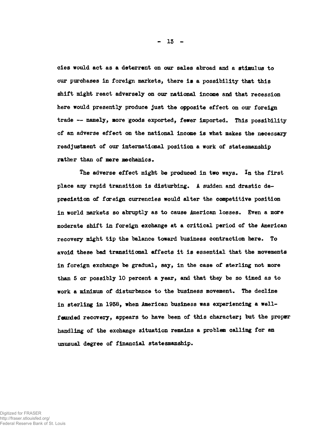**cies would act as a deterrent on our sales abroad and a stimulus to our purchases in foreign markets, there is a possibility that this shift might react adversely on our national income and that recession here would presently produce just the opposite effect on our foreign** trade -- namely, more goods exported, fewer imported. This possibility **of an adverse effect on the national income is what makes the necessary readjustment of our international position a work of statesmanship rather than of mere mechanics.**

The adverse effect might be produced in two ways. In the first place any rapid transition is disturbing. A sudden and drastic de**preciation of fareign currencies would alter the competitive position** in world markets so abruptly as to cause American losses. Even a more **moderate shift in foreign exchange at a critical period of the American recovery might tip the balance toward business contraction here\* To avoid these bad transitional effects it is essential that the movements in foreign exchange be gradual, say, in the case of sterling not more than 5 or possibly 10 percent a year, and that they be so timed as to work a minimum of disturbance to the business movement\* The decline in sterling in 1938, when American business was experiencing a wellfounded recovery, appears to have been of this character; but the proper handling of the exchange situation remains a problem calling for an unusual degree of financial statesmanship\***

**- 13 -**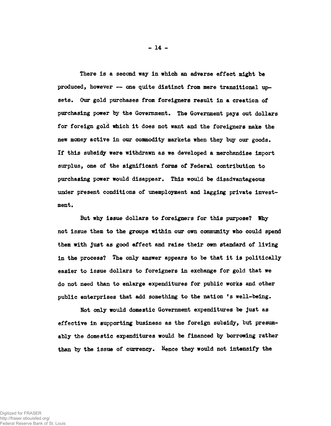**There is a second way in which an adverse effect might be** produced, however -- one quite distinct from mere transitional upsets. Our gold purchases from foreigners result in a creation of **purchasing power by the Government. The Government pays out dollars for foreign gold which it does not want and the foreigners make the new money active in our commodity markets when they buy our goods . If this subsidy were withdrawn as we developed a merchandise import surplus, one of the significant forms of Federal contribution to purchasing power would disappear. This would be disadvantageous under present conditions of unemployment and lagging private investment.**

**But why issue dollars to foreigners for this purpose? Why not issue them to the groups within our own community who could spend them with just as good effect and raise their own standard of living in the process? The only answer appears to be that it is politically easier to issue dollars to foreigners in exchange for gold that we do not need than to enlarge expenditures for public works and other** public enterprises that add something to the nation 's well-being.

**Not only would domestic Government expenditures be just as effective in supporting business as the foreign subsidy, but presumably the domestic expenditures would be financed by borrowing rather than by the issue of currency. Hence they would not intensify the**

**- 14 -**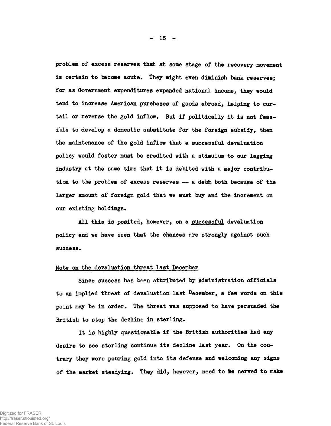**problem of excess reserves that at some stage of the recovery movement** is certain to become acute. They might even diminish bank reserves; **far as Government expenditures expanded national income, they would tend to increase American purchases of goods abroad, helping to curtail or reverse the gold inflow. But if politically it is not feasible to develop a domestic substitute for the foreign subsidy, then the maintenance of the gold inflow that a successful devaluation policy would foster must be credited with a stimulus to our lagging industry at the same time that it is debited with a major contribution to the problem of excess reserves — a debit both because of the larger amount of foreign gold that we must buy and the increment on** our existing holdings.

**All this is posited, however, on a successful devaluation policy and we have seen that the chances are strongly against such** success.

# **Note on the devaluation threat last December**

**Since success has been attributed by Administration officials to an implied threat of devaluation last December, a few words on this point may be in order. The threat was supposed to have persuaded the British to stop the decline in sterling.**

**It is highly questionable if the British authorities had any desire to see sterling continue its decline last year. On the contrary they were pouring gold into its defense and welcoming any signs of the market steadying. They did, however, need to be nerved to make**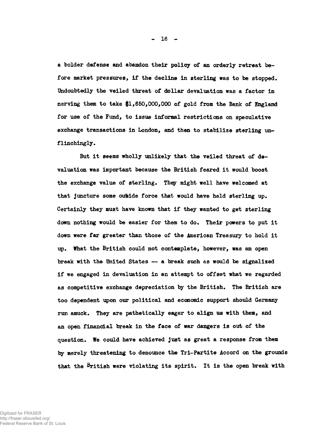**a bolder defense and abandon their policy of an orderly retreat before market pressures, if the decline in sterling was to be stopped. Undoubtedly the veiled threat of dollar devaluation was a factor in nerving them to take \$1,650,000,000 of gold from the Bank of England for use of the Fund, to issue informal restrictions on speculative exchange transactions in London, and then to stabilize sterling unflinchingly.**

**But it seems wholly unlikely that the veiled threat of devaluation was important because the British feared it would boost the exchange value of sterling. They might well have welcomed at** that juncture some outside force that would have held sterling up. **Certainly they must have known that if they wanted to get sterling down nothing would be easier for them to do. Their powers to put it down were far greater than those of the American Treasury to hold it up. What the British could not contemplate, however, was an open break with the United States — a break such as would be signalized if we engaged in devaluation in an attempt to offset what we regarded as competitive exchange depreciation by the British. The British are too dependent upon our political and economic support should Germany run amuck. They are pathetically eager to align us with them, and an open financial break in the face of war dangers is out of the question. We could have achieved just as great a response from them by merely threatening to denounce the Tri-Partite Accord on the grounds that the British were violating its spirit. It is the open break with**

**- 16 -**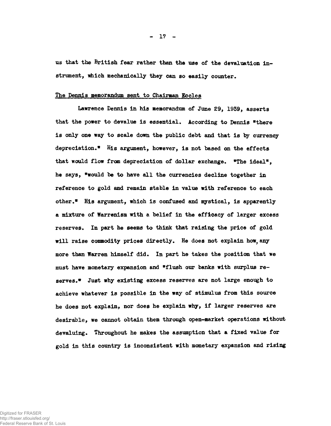**us that the British fear rather than the use of the devaluation in**strument, which mechanically they can so easily counter.

# **The Dennis memorandum sent to Chairman Eccles**

**Lawrence Dennis in his memorandum of June 29, 1939, asserts that the power to devalue is essential. According to Dennis "there is only one way to scale down the public debt and that is by currency depreciation.<sup>11</sup> His argument, however, is not based on the effects** that would flow from depreciation of dollar exchange. "The ideal", **he says, "would be to have all the currencies decline together in reference to gold and remain stable in value with reference to each other.\* His argument, which is confused and mystical, is apparently a mixture of Warrenism with a belief in the efficacy of larger excess** reserves. In part he seems to think that raising the price of gold **will raise commodity prices directly. He does not explain how, any more than Warren himself did. In part he takes the position that we must have monetary expansion and "flush our banks with surplus reserves.\* Just why existing excess reserves are not large enough to achieve whatever is possible in the way of stimulus from this source he does not explain, nor does he explain why, if larger reserves are desirable, we cannot obtain them through open-market operations without devaluing. Throughout he makes the assumption that a fixed value for gold in this country is inconsistent with monetary expansion and rising**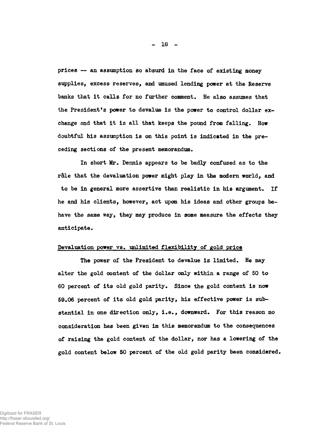**prices — an assumption so absurd in the face of existing money supplies, excess reserves, and unused lending power at the Reserve banks that it calls for no further comment. He also assumes that** the President's power to devalue is the power to control dollar ex**change and that it is all that keeps the pound from falling. How doubtful his assumption is on this point is indicated in the preceding sections of the present memorandum.**

**In short Mr. Dennis appears to be badly confused as to the role that the devaluation power might play in the modern world, and to be in general more assertive than realistic in his argument. If he and his clients, however, act upon his ideas and other groups behave the same way, they may produce in some measure the effects they anticipate.**

# **Devaluation power vs. unlimited flexibility of gold price**

**The power of the President to devalue is limited. He may alter the gold content of the dollar only within a range of 50 to 60 percent of its old gold parity. Since the gold content is now 59.06 percent of its old gold parity, his effective power is substantial in one direction only, i.e., downward. For this reason no consideration has been given in this memorandum to the consequences of raising the gold content of the dollar, nor has a lowering of the gold content below 60 percent of the old gold parity been considered.**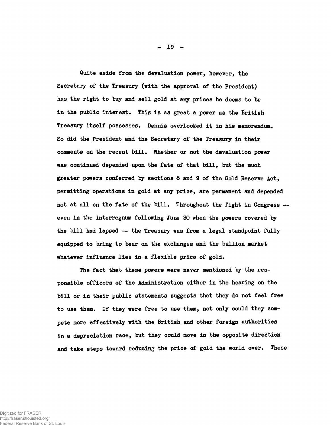**Quite aside from the devaluation power, however, the Secretary of the Treasury (with the approval of the President) has the right to buy and sell gold at any prices he deems to be** in the public interest. This is as great a power as the British **Treasury itself possesses\* Dennis overlooked it in his memorandum. So did the President and the Secretary of the Treasury in their comments on the recent bill. Whether or not the devaluation power was continued depended upon the fate of that bill, but the much greater powers conferred by sections 8 and 9 of the Gold Reserve Act, permitting operations in gold at any price, are permanent and depended not at all on the fate of the bill. Throughout the fight in Congress even in the interregnum following June 30 when the powers covered by the bill had lapsed — the Treasury was from a legal standpoint fully equipped to bring to bear on the exchanges and the bullion market whatever influence lies in a flexible price of gold.**

**The fact that these powers were never mentioned by the responsible officers of the Administration either in the hearing on the bill or in their public statements suggests that they do not feel free to use them. If they were free to use them, not only could they compete more effectively with the British and other foreign authorities in a depreciation race, but they could move in the opposite direction and take steps toward reducing the price of gold the world over. These**

**- 19 -**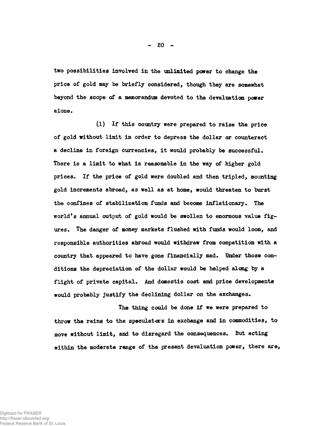**two possibilities involved in the unlimited power to change the price of gold may be briefly considered, though they are somewhat beyond the scope of a memorandum devoted to the devaluation power alone.**

**(l) If this country were prepared to raise the price of gold without limit in order to depress the dollar or counteract a decline in foreign currencies, it would probably be successful. There is a limit to what is reasonable in the way of higher gold prices. If the price of gold were doubled and then tripled, mounting gold increments abroad, as well as at home, would threaten to burst the confines of stabilization funds and become inflationary. The world's annual output of gold would be swollen to enormous value figures. The danger of money markets flushed with funds would loom, and responsible authorities abroad would withdraw from competition with a country that appeared to have gone financially mad. Under those conditions the depreciation of the dollar would be helped along by a flight of private capital. And domestic cost and price developments** would probably justify the declining dollar on the exchanges.

**The thing could be done if we were prepared to throw the reins to the speculators in exchange and in commodities, to move without limit, and to disregard the consequences. But acting within the moderate range of the present devaluation power, there are,**

**- 20 -**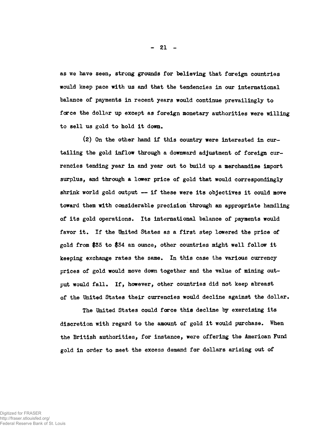**as we have seen, strong grounds for believing that foreign countries would keep pace with us and that the tendencies in our international balance of payments in recent years would continue prevailingly to force the dollar up except as foreign monetary authorities were willing to sell us gold to hold it down.**

**(2) On the other hand if this country were interested in curtailing the gold inflow through a downward adjustment of foreign currencies tending year in and year out to build up a merchandise import surplus, and through a lower price of gold that would correspondingly shrink world gold output — if these were its objectives it could move toward them with considerable precision through an appropriate handling of its gold operations• Its international balance of payments would favor it. If the United States as a first step lowered the price of gold from \$35 to \$34 an ounce, other countries might well follow it keeping exchange rates the same. In this case the various currency prices of gold would move down together and the value of mining out**put would fall. If, however, other countries did not keep abreast **of the United States their currencies would decline against the dollar.**

**The United States could force this decline by exercising its discretion with regard to the amount of gold it would purchase. When the British authorities, for instance, were offering the American Fund gold in order to meet the excess demand for dollars arising out of**

**- 21 -**